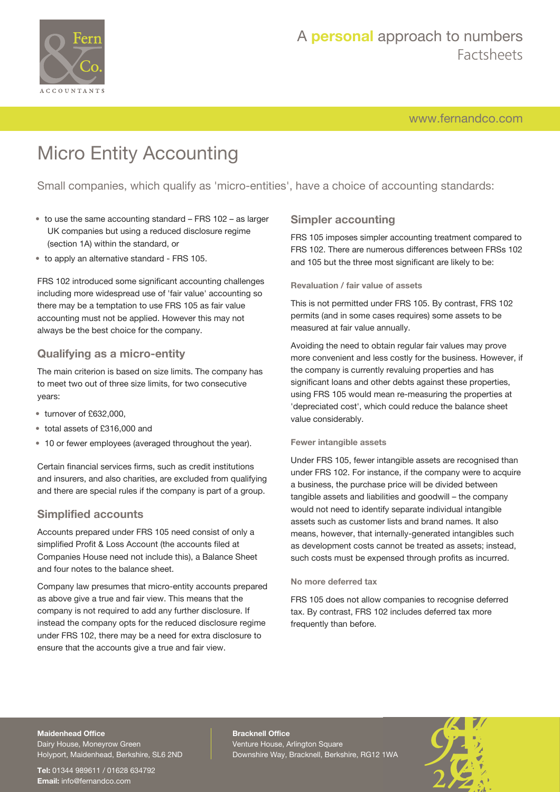

# A **personal** approach to numbers Factsheets

[www.fernandco.com](http://www.fernandco.com)

# Micro Entity Accounting

Small companies, which qualify as 'micro-entities', have a choice of accounting standards:

- to use the same accounting standard FRS 102 as larger UK companies but using a reduced disclosure regime (section 1A) within the standard, or
- to apply an alternative standard FRS 105.

FRS 102 introduced some significant accounting challenges including more widespread use of 'fair value' accounting so there may be a temptation to use FRS 105 as fair value accounting must not be applied. However this may not always be the best choice for the company.

## **Qualifying as a micro-entity**

The main criterion is based on size limits. The company has to meet two out of three size limits, for two consecutive years:

- turnover of £632,000,
- total assets of £316,000 and
- 10 or fewer employees (averaged throughout the year).

Certain financial services firms, such as credit institutions and insurers, and also charities, are excluded from qualifying and there are special rules if the company is part of a group.

## **Simplified accounts**

Accounts prepared under FRS 105 need consist of only a simplified Profit & Loss Account (the accounts filed at Companies House need not include this), a Balance Sheet and four notes to the balance sheet.

Company law presumes that micro-entity accounts prepared as above give a true and fair view. This means that the company is not required to add any further disclosure. If instead the company opts for the reduced disclosure regime under FRS 102, there may be a need for extra disclosure to ensure that the accounts give a true and fair view.

## **Simpler accounting**

FRS 105 imposes simpler accounting treatment compared to FRS 102. There are numerous differences between FRSs 102 and 105 but the three most significant are likely to be:

#### **Revaluation / fair value of assets**

This is not permitted under FRS 105. By contrast, FRS 102 permits (and in some cases requires) some assets to be measured at fair value annually.

Avoiding the need to obtain regular fair values may prove more convenient and less costly for the business. However, if the company is currently revaluing properties and has significant loans and other debts against these properties, using FRS 105 would mean re-measuring the properties at 'depreciated cost', which could reduce the balance sheet value considerably.

#### **Fewer intangible assets**

Under FRS 105, fewer intangible assets are recognised than under FRS 102. For instance, if the company were to acquire a business, the purchase price will be divided between tangible assets and liabilities and goodwill – the company would not need to identify separate individual intangible assets such as customer lists and brand names. It also means, however, that internally-generated intangibles such as development costs cannot be treated as assets; instead, such costs must be expensed through profits as incurred.

#### **No more deferred tax**

FRS 105 does not allow companies to recognise deferred tax. By contrast, FRS 102 includes deferred tax more frequently than before.

#### **Maidenhead Office**

Dairy House, Moneyrow Green Holyport, Maidenhead, Berkshire, SL6 2ND

**Tel:** 01344 989611 / 01628 634792 **Email:** [info@fernandco.com](mailto:info@fernandco.com)

**Bracknell Office** Venture House, Arlington Square Downshire Way, Bracknell, Berkshire, RG12 1WA